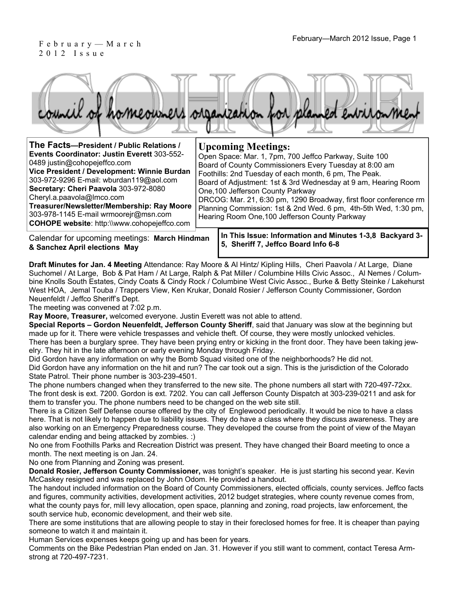## 2012 Issue

| The Facts-President / Public Relations /<br>Events Coordinator: Justin Everett 303-552-<br>0489 justin@cohopejeffco.com<br>Vice President / Development: Winnie Burdan<br>303-972-9296 E-mail: wburdan119@aol.com<br>Secretary: Cheri Paavola 303-972-8080<br>Cheryl.a.paavola@Imco.com<br>Treasurer/Newsletter/Membership: Ray Moore<br>303-978-1145 E-mail wrmoorejr@msn.com<br><b>COHOPE website: http://www.cohopejeffco.com</b> | <b>Upcoming Meetings:</b><br>Open Space: Mar. 1, 7pm, 700 Jeffco Parkway, Suite 100<br>Board of County Commissioners Every Tuesday at 8:00 am<br>Foothills: 2nd Tuesday of each month, 6 pm, The Peak.<br>Board of Adjustment: 1st & 3rd Wednesday at 9 am, Hearing Room<br>One, 100 Jefferson County Parkway<br>DRCOG: Mar. 21, 6:30 pm, 1290 Broadway, first floor conference rm<br>Planning Commission: 1st & 2nd Wed. 6 pm, 4th-5th Wed, 1:30 pm,<br>Hearing Room One, 100 Jefferson County Parkway |
|--------------------------------------------------------------------------------------------------------------------------------------------------------------------------------------------------------------------------------------------------------------------------------------------------------------------------------------------------------------------------------------------------------------------------------------|---------------------------------------------------------------------------------------------------------------------------------------------------------------------------------------------------------------------------------------------------------------------------------------------------------------------------------------------------------------------------------------------------------------------------------------------------------------------------------------------------------|
|                                                                                                                                                                                                                                                                                                                                                                                                                                      |                                                                                                                                                                                                                                                                                                                                                                                                                                                                                                         |

Calendar for upcoming meetings: **March Hindman & Sanchez April elections May**

**In This Issue: Information and Minutes 1-3,8 Backyard 3- 5, Sheriff 7, Jeffco Board Info 6-8** 

**Draft Minutes for Jan. 4 Meeting** Attendance: Ray Moore & Al Hintz/ Kipling Hills, Cheri Paavola / At Large, Diane Suchomel / At Large, Bob & Pat Ham / At Large, Ralph & Pat Miller / Columbine Hills Civic Assoc., Al Nemes / Columbine Knolls South Estates, Cindy Coats & Cindy Rock / Columbine West Civic Assoc., Burke & Betty Steinke / Lakehurst West HOA, Jemal Touba / Trappers View, Ken Krukar, Donald Rosier / Jefferson County Commissioner, Gordon Neuenfeldt / Jeffco Sheriff's Dept.

The meeting was convened at 7:02 p.m.

**Ray Moore, Treasurer,** welcomed everyone. Justin Everett was not able to attend.

**Special Reports – Gordon Neuenfeldt, Jefferson County Sheriff**, said that January was slow at the beginning but made up for it. There were vehicle trespasses and vehicle theft. Of course, they were mostly unlocked vehicles. There has been a burglary spree. They have been prying entry or kicking in the front door. They have been taking jewelry. They hit in the late afternoon or early evening Monday through Friday.

Did Gordon have any information on why the Bomb Squad visited one of the neighborhoods? He did not. Did Gordon have any information on the hit and run? The car took out a sign. This is the jurisdiction of the Colorado State Patrol. Their phone number is 303-239-4501.

The phone numbers changed when they transferred to the new site. The phone numbers all start with 720-497-72xx. The front desk is ext. 7200. Gordon is ext. 7202. You can call Jefferson County Dispatch at 303-239-0211 and ask for them to transfer you. The phone numbers need to be changed on the web site still.

There is a Citizen Self Defense course offered by the city of Englewood periodically. It would be nice to have a class here. That is not likely to happen due to liability issues. They do have a class where they discuss awareness. They are also working on an Emergency Preparedness course. They developed the course from the point of view of the Mayan calendar ending and being attacked by zombies. :)

No one from Foothills Parks and Recreation District was present. They have changed their Board meeting to once a month. The next meeting is on Jan. 24.

No one from Planning and Zoning was present.

**Donald Rosier, Jefferson County Commissioner,** was tonight's speaker. He is just starting his second year. Kevin McCaskey resigned and was replaced by John Odom. He provided a handout.

The handout included information on the Board of County Commissioners, elected officials, county services. Jeffco facts and figures, community activities, development activities, 2012 budget strategies, where county revenue comes from, what the county pays for, mill levy allocation, open space, planning and zoning, road projects, law enforcement, the south service hub, economic development, and their web site.

There are some institutions that are allowing people to stay in their foreclosed homes for free. It is cheaper than paying someone to watch it and maintain it.

Human Services expenses keeps going up and has been for years.

Comments on the Bike Pedestrian Plan ended on Jan. 31. However if you still want to comment, contact Teresa Armstrong at 720-497-7231.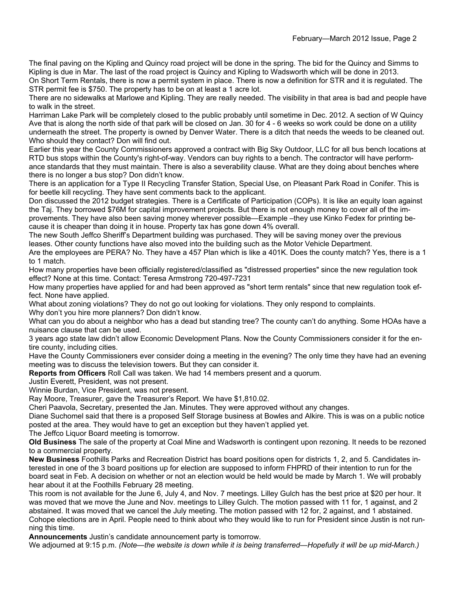The final paving on the Kipling and Quincy road project will be done in the spring. The bid for the Quincy and Simms to Kipling is due in Mar. The last of the road project is Quincy and Kipling to Wadsworth which will be done in 2013. On Short Term Rentals, there is now a permit system in place. There is now a definition for STR and it is regulated. The STR permit fee is \$750. The property has to be on at least a 1 acre lot.

There are no sidewalks at Marlowe and Kipling. They are really needed. The visibility in that area is bad and people have to walk in the street.

Harriman Lake Park will be completely closed to the public probably until sometime in Dec. 2012. A section of W Quincy Ave that is along the north side of that park will be closed on Jan. 30 for 4 - 6 weeks so work could be done on a utility underneath the street. The property is owned by Denver Water. There is a ditch that needs the weeds to be cleaned out. Who should they contact? Don will find out.

Earlier this year the County Commissioners approved a contract with Big Sky Outdoor, LLC for all bus bench locations at RTD bus stops within the County's right-of-way. Vendors can buy rights to a bench. The contractor will have performance standards that they must maintain. There is also a severability clause. What are they doing about benches where there is no longer a bus stop? Don didn't know.

There is an application for a Type II Recycling Transfer Station, Special Use, on Pleasant Park Road in Conifer. This is for beetle kill recycling. They have sent comments back to the applicant.

Don discussed the 2012 budget strategies. There is a Certificate of Participation (COPs). It is like an equity loan against the Taj. They borrowed \$76M for capital improvement projects. But there is not enough money to cover all of the improvements. They have also been saving money wherever possible—Example –they use Kinko Fedex for printing because it is cheaper than doing it in house. Property tax has gone down 4% overall.

The new South Jeffco Sheriff's Department building was purchased. They will be saving money over the previous leases. Other county functions have also moved into the building such as the Motor Vehicle Department.

Are the employees are PERA? No. They have a 457 Plan which is like a 401K. Does the county match? Yes, there is a 1 to 1 match.

How many properties have been officially registered/classified as "distressed properties" since the new regulation took effect? None at this time. Contact: Teresa Armstrong 720-497-7231

How many properties have applied for and had been approved as "short term rentals" since that new regulation took effect. None have applied.

What about zoning violations? They do not go out looking for violations. They only respond to complaints. Why don't you hire more planners? Don didn't know.

What can you do about a neighbor who has a dead but standing tree? The county can't do anything. Some HOAs have a nuisance clause that can be used.

3 years ago state law didn't allow Economic Development Plans. Now the County Commissioners consider it for the entire county, including cities.

Have the County Commissioners ever consider doing a meeting in the evening? The only time they have had an evening meeting was to discuss the television towers. But they can consider it.

**Reports from Officers** Roll Call was taken. We had 14 members present and a quorum.

Justin Everett, President, was not present.

Winnie Burdan, Vice President, was not present.

Ray Moore, Treasurer, gave the Treasurer's Report. We have \$1,810.02.

Cheri Paavola, Secretary, presented the Jan. Minutes. They were approved without any changes.

Diane Suchomel said that there is a proposed Self Storage business at Bowles and Alkire. This is was on a public notice posted at the area. They would have to get an exception but they haven't applied yet.

The Jeffco Liquor Board meeting is tomorrow.

**Old Business** The sale of the property at Coal Mine and Wadsworth is contingent upon rezoning. It needs to be rezoned to a commercial property.

**New Business** Foothills Parks and Recreation District has board positions open for districts 1, 2, and 5. Candidates interested in one of the 3 board positions up for election are supposed to inform FHPRD of their intention to run for the board seat in Feb. A decision on whether or not an election would be held would be made by March 1. We will probably hear about it at the Foothills February 28 meeting.

This room is not available for the June 6, July 4, and Nov. 7 meetings. Lilley Gulch has the best price at \$20 per hour. It was moved that we move the June and Nov. meetings to Lilley Gulch. The motion passed with 11 for, 1 against, and 2 abstained. It was moved that we cancel the July meeting. The motion passed with 12 for, 2 against, and 1 abstained. Cohope elections are in April. People need to think about who they would like to run for President since Justin is not running this time.

**Announcements** Justin's candidate announcement party is tomorrow.

We adjourned at 9:15 p.m. *(Note—the website is down while it is being transferred—Hopefully it will be up mid-March.)*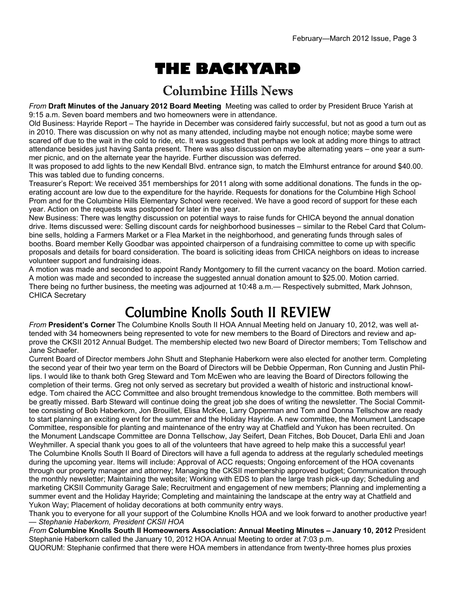# **THE BACKYARD**

#### Columbine Hills News

*From* **Draft Minutes of the January 2012 Board Meeting** Meeting was called to order by President Bruce Yarish at 9:15 a.m. Seven board members and two homeowners were in attendance.

Old Business: Hayride Report – The hayride in December was considered fairly successful, but not as good a turn out as in 2010. There was discussion on why not as many attended, including maybe not enough notice; maybe some were scared off due to the wait in the cold to ride, etc. It was suggested that perhaps we look at adding more things to attract attendance besides just having Santa present. There was also discussion on maybe alternating years – one year a summer picnic, and on the alternate year the hayride. Further discussion was deferred.

It was proposed to add lights to the new Kendall Blvd. entrance sign, to match the Elmhurst entrance for around \$40.00. This was tabled due to funding concerns.

Treasurer's Report: We received 351 memberships for 2011 along with some additional donations. The funds in the operating account are low due to the expenditure for the hayride. Requests for donations for the Columbine High School Prom and for the Columbine Hills Elementary School were received. We have a good record of support for these each year. Action on the requests was postponed for later in the year.

New Business: There was lengthy discussion on potential ways to raise funds for CHICA beyond the annual donation drive. Items discussed were: Selling discount cards for neighborhood businesses – similar to the Rebel Card that Columbine sells, holding a Farmers Market or a Flea Market in the neighborhood, and generating funds through sales of booths. Board member Kelly Goodbar was appointed chairperson of a fundraising committee to come up with specific proposals and details for board consideration. The board is soliciting ideas from CHICA neighbors on ideas to increase volunteer support and fundraising ideas.

A motion was made and seconded to appoint Randy Montgomery to fill the current vacancy on the board. Motion carried. A motion was made and seconded to increase the suggested annual donation amount to \$25.00. Motion carried. There being no further business, the meeting was adjourned at 10:48 a.m.— Respectively submitted, Mark Johnson, CHICA Secretary

## Columbine Knolls South II REVIEW

*From* **President's Corner** The Columbine Knolls South II HOA Annual Meeting held on January 10, 2012, was well attended with 34 homeowners being represented to vote for new members to the Board of Directors and review and approve the CKSII 2012 Annual Budget. The membership elected two new Board of Director members; Tom Tellschow and Jane Schaefer.

Current Board of Director members John Shutt and Stephanie Haberkorn were also elected for another term. Completing the second year of their two year term on the Board of Directors will be Debbie Opperman, Ron Cunning and Justin Phillips. I would like to thank both Greg Steward and Tom McEwen who are leaving the Board of Directors following the completion of their terms. Greg not only served as secretary but provided a wealth of historic and instructional knowledge. Tom chaired the ACC Committee and also brought tremendous knowledge to the committee. Both members will be greatly missed. Barb Steward will continue doing the great job she does of writing the newsletter. The Social Committee consisting of Bob Haberkorn, Jon Brouillet, Elisa McKee, Larry Opperman and Tom and Donna Tellschow are ready to start planning an exciting event for the summer and the Holiday Hayride. A new committee, the Monument Landscape Committee, responsible for planting and maintenance of the entry way at Chatfield and Yukon has been recruited. On the Monument Landscape Committee are Donna Tellschow, Jay Seifert, Dean Fitches, Bob Doucet, Darla Ehli and Joan Weyhmiller. A special thank you goes to all of the volunteers that have agreed to help make this a successful year! The Columbine Knolls South II Board of Directors will have a full agenda to address at the regularly scheduled meetings during the upcoming year. Items will include: Approval of ACC requests; Ongoing enforcement of the HOA covenants through our property manager and attorney; Managing the CKSII membership approved budget; Communication through the monthly newsletter; Maintaining the website; Working with EDS to plan the large trash pick-up day; Scheduling and marketing CKSII Community Garage Sale; Recruitment and engagement of new members; Planning and implementing a summer event and the Holiday Hayride; Completing and maintaining the landscape at the entry way at Chatfield and Yukon Way; Placement of holiday decorations at both community entry ways.

Thank you to everyone for all your support of the Columbine Knolls HOA and we look forward to another productive year! — *Stephanie Haberkorn, President CKSII HOA*

*From* **Columbine Knolls South II Homeowners Association: Annual Meeting Minutes – January 10, 2012** President Stephanie Haberkorn called the January 10, 2012 HOA Annual Meeting to order at 7:03 p.m.

QUORUM: Stephanie confirmed that there were HOA members in attendance from twenty-three homes plus proxies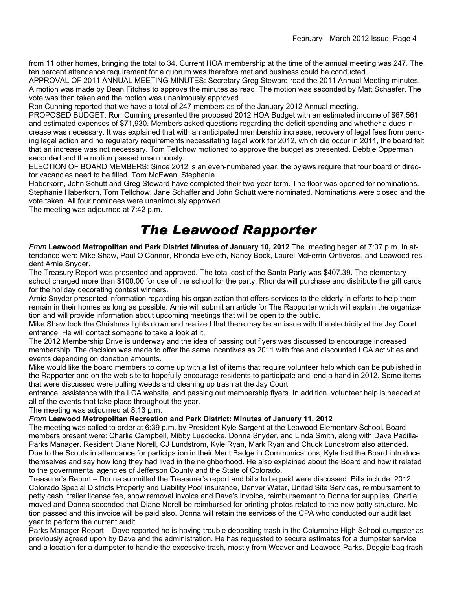from 11 other homes, bringing the total to 34. Current HOA membership at the time of the annual meeting was 247. The ten percent attendance requirement for a quorum was therefore met and business could be conducted.

APPROVAL OF 2011 ANNUAL MEETING MINUTES: Secretary Greg Steward read the 2011 Annual Meeting minutes. A motion was made by Dean Fitches to approve the minutes as read. The motion was seconded by Matt Schaefer. The vote was then taken and the motion was unanimously approved.

Ron Cunning reported that we have a total of 247 members as of the January 2012 Annual meeting.

PROPOSED BUDGET: Ron Cunning presented the proposed 2012 HOA Budget with an estimated income of \$67,561 and estimated expenses of \$71,930. Members asked questions regarding the deficit spending and whether a dues increase was necessary. It was explained that with an anticipated membership increase, recovery of legal fees from pending legal action and no regulatory requirements necessitating legal work for 2012, which did occur in 2011, the board felt that an increase was not necessary. Tom Tellchow motioned to approve the budget as presented. Debbie Opperman seconded and the motion passed unanimously.

ELECTION OF BOARD MEMBERS: Since 2012 is an even-numbered year, the bylaws require that four board of director vacancies need to be filled. Tom McEwen, Stephanie

Haberkorn, John Schutt and Greg Steward have completed their two-year term. The floor was opened for nominations. Stephanie Haberkorn, Tom Tellchow, Jane Schaffer and John Schutt were nominated. Nominations were closed and the vote taken. All four nominees were unanimously approved.

The meeting was adjourned at 7:42 p.m.

### *The Leawood Rapporter*

*From* **Leawood Metropolitan and Park District Minutes of January 10, 2012** The meeting began at 7:07 p.m. In attendance were Mike Shaw, Paul O'Connor, Rhonda Eveleth, Nancy Bock, Laurel McFerrin-Ontiveros, and Leawood resident Arnie Snyder.

The Treasury Report was presented and approved. The total cost of the Santa Party was \$407.39. The elementary school charged more than \$100.00 for use of the school for the party. Rhonda will purchase and distribute the gift cards for the holiday decorating contest winners.

Arnie Snyder presented information regarding his organization that offers services to the elderly in efforts to help them remain in their homes as long as possible. Arnie will submit an article for The Rapporter which will explain the organization and will provide information about upcoming meetings that will be open to the public.

Mike Shaw took the Christmas lights down and realized that there may be an issue with the electricity at the Jay Court entrance. He will contact someone to take a look at it.

The 2012 Membership Drive is underway and the idea of passing out flyers was discussed to encourage increased membership. The decision was made to offer the same incentives as 2011 with free and discounted LCA activities and events depending on donation amounts.

Mike would like the board members to come up with a list of items that require volunteer help which can be published in the Rapporter and on the web site to hopefully encourage residents to participate and lend a hand in 2012. Some items that were discussed were pulling weeds and cleaning up trash at the Jay Court

entrance, assistance with the LCA website, and passing out membership flyers. In addition, volunteer help is needed at all of the events that take place throughout the year.

The meeting was adjourned at 8:13 p.m.

#### *From* **Leawood Metropolitan Recreation and Park District: Minutes of January 11, 2012**

The meeting was called to order at 6:39 p.m. by President Kyle Sargent at the Leawood Elementary School. Board members present were: Charlie Campbell, Mibby Luedecke, Donna Snyder, and Linda Smith, along with Dave Padilla-Parks Manager. Resident Diane Norell, CJ Lundstrom, Kyle Ryan, Mark Ryan and Chuck Lundstrom also attended. Due to the Scouts in attendance for participation in their Merit Badge in Communications, Kyle had the Board introduce themselves and say how long they had lived in the neighborhood. He also explained about the Board and how it related to the governmental agencies of Jefferson County and the State of Colorado.

Treasurer's Report – Donna submitted the Treasurer's report and bills to be paid were discussed. Bills include: 2012 Colorado Special Districts Property and Liability Pool insurance, Denver Water, United Site Services, reimbursement to petty cash, trailer license fee, snow removal invoice and Dave's invoice, reimbursement to Donna for supplies. Charlie moved and Donna seconded that Diane Norell be reimbursed for printing photos related to the new potty structure. Motion passed and this invoice will be paid also. Donna will retain the services of the CPA who conducted our audit last year to perform the current audit.

Parks Manager Report – Dave reported he is having trouble depositing trash in the Columbine High School dumpster as previously agreed upon by Dave and the administration. He has requested to secure estimates for a dumpster service and a location for a dumpster to handle the excessive trash, mostly from Weaver and Leawood Parks. Doggie bag trash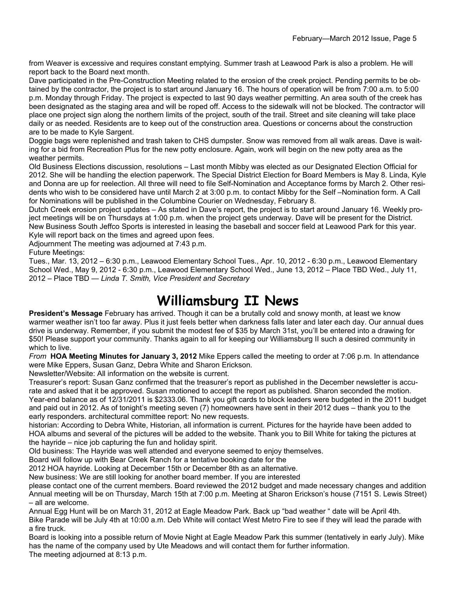from Weaver is excessive and requires constant emptying. Summer trash at Leawood Park is also a problem. He will report back to the Board next month.

Dave participated in the Pre-Construction Meeting related to the erosion of the creek project. Pending permits to be obtained by the contractor, the project is to start around January 16. The hours of operation will be from 7:00 a.m. to 5:00 p.m. Monday through Friday. The project is expected to last 90 days weather permitting. An area south of the creek has been designated as the staging area and will be roped off. Access to the sidewalk will not be blocked. The contractor will place one project sign along the northern limits of the project, south of the trail. Street and site cleaning will take place daily or as needed. Residents are to keep out of the construction area. Questions or concerns about the construction are to be made to Kyle Sargent.

Doggie bags were replenished and trash taken to CHS dumpster. Snow was removed from all walk areas. Dave is waiting for a bid from Recreation Plus for the new potty enclosure. Again, work will begin on the new potty area as the weather permits.

Old Business Elections discussion, resolutions – Last month Mibby was elected as our Designated Election Official for 2012. She will be handling the election paperwork. The Special District Election for Board Members is May 8. Linda, Kyle and Donna are up for reelection. All three will need to file Self-Nomination and Acceptance forms by March 2. Other residents who wish to be considered have until March 2 at 3:00 p.m. to contact Mibby for the Self –Nomination form. A Call for Nominations will be published in the Columbine Courier on Wednesday, February 8.

Dutch Creek erosion project updates – As stated in Dave's report, the project is to start around January 16. Weekly project meetings will be on Thursdays at 1:00 p.m. when the project gets underway. Dave will be present for the District. New Business South Jeffco Sports is interested in leasing the baseball and soccer field at Leawood Park for this year. Kyle will report back on the times and agreed upon fees.

Adjournment The meeting was adjourned at 7:43 p.m.

Future Meetings:

Tues., Mar. 13, 2012 – 6:30 p.m., Leawood Elementary School Tues., Apr. 10, 2012 - 6:30 p.m., Leawood Elementary School Wed., May 9, 2012 - 6:30 p.m., Leawood Elementary School Wed., June 13, 2012 – Place TBD Wed., July 11, 2012 – Place TBD — *Linda T. Smith, Vice President and Secretary*

### **Williamsburg II News**

**President's Message** February has arrived. Though it can be a brutally cold and snowy month, at least we know warmer weather isn't too far away. Plus it just feels better when darkness falls later and later each day. Our annual dues drive is underway. Remember, if you submit the modest fee of \$35 by March 31st, you'll be entered into a drawing for \$50! Please support your community. Thanks again to all for keeping our Williamsburg II such a desired community in which to live.

*From* **HOA Meeting Minutes for January 3, 2012** Mike Eppers called the meeting to order at 7:06 p.m. In attendance were Mike Eppers, Susan Ganz, Debra White and Sharon Erickson.

Newsletter/Website: All information on the website is current.

Treasurer's report: Susan Ganz confirmed that the treasurer's report as published in the December newsletter is accurate and asked that it be approved. Susan motioned to accept the report as published. Sharon seconded the motion. Year-end balance as of 12/31/2011 is \$2333.06. Thank you gift cards to block leaders were budgeted in the 2011 budget and paid out in 2012. As of tonight's meeting seven (7) homeowners have sent in their 2012 dues – thank you to the early responders. architectural committee report: No new requests.

historian: According to Debra White, Historian, all information is current. Pictures for the hayride have been added to HOA albums and several of the pictures will be added to the website. Thank you to Bill White for taking the pictures at the hayride – nice job capturing the fun and holiday spirit.

Old business: The Hayride was well attended and everyone seemed to enjoy themselves.

Board will follow up with Bear Creek Ranch for a tentative booking date for the

2012 HOA hayride. Looking at December 15th or December 8th as an alternative.

New business: We are still looking for another board member. If you are interested

please contact one of the current members. Board reviewed the 2012 budget and made necessary changes and addition Annual meeting will be on Thursday, March 15th at 7:00 p.m. Meeting at Sharon Erickson's house (7151 S. Lewis Street) – all are welcome.

Annual Egg Hunt will be on March 31, 2012 at Eagle Meadow Park. Back up "bad weather " date will be April 4th.

Bike Parade will be July 4th at 10:00 a.m. Deb White will contact West Metro Fire to see if they will lead the parade with a fire truck.

Board is looking into a possible return of Movie Night at Eagle Meadow Park this summer (tentatively in early July). Mike has the name of the company used by Ute Meadows and will contact them for further information. The meeting adjourned at 8:13 p.m.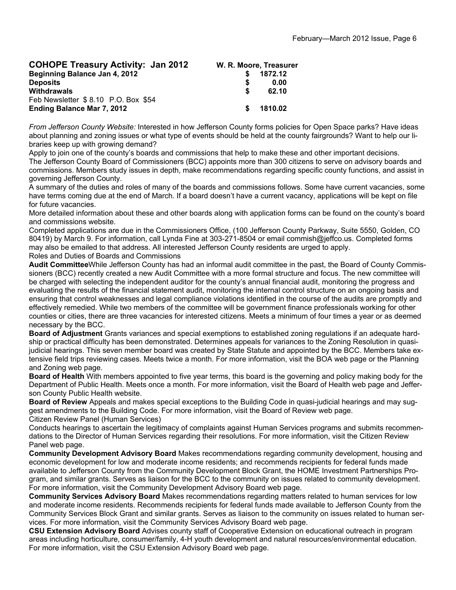| <b>COHOPE Treasury Activity: Jan 2012</b> | W. R. Moore, Treasurer |         |
|-------------------------------------------|------------------------|---------|
| Beginning Balance Jan 4, 2012             |                        | 1872.12 |
| <b>Deposits</b>                           |                        | 0.00    |
| <b>Withdrawals</b>                        | \$                     | 62.10   |
| Feb Newsletter \$8.10 P.O. Box \$54       |                        |         |
| <b>Ending Balance Mar 7, 2012</b>         | -SG                    | 1810.02 |

*From Jefferson County Website:* Interested in how Jefferson County forms policies for Open Space parks? Have ideas about planning and zoning issues or what type of events should be held at the county fairgrounds? Want to help our libraries keep up with growing demand?

Apply to join one of the county's boards and commissions that help to make these and other important decisions. The Jefferson County Board of Commissioners (BCC) appoints more than 300 citizens to serve on advisory boards and commissions. Members study issues in depth, make recommendations regarding specific county functions, and assist in governing Jefferson County.

A summary of the duties and roles of many of the boards and commissions follows. Some have current vacancies, some have terms coming due at the end of March. If a board doesn't have a current vacancy, applications will be kept on file for future vacancies.

More detailed information about these and other boards along with application forms can be found on the county's board and commissions website.

Completed applications are due in the Commissioners Office, (100 Jefferson County Parkway, Suite 5550, Golden, CO 80419) by March 9. For information, call Lynda Fine at 303-271-8504 or email commish@jeffco.us. Completed forms may also be emailed to that address. All interested Jefferson County residents are urged to apply. Roles and Duties of Boards and Commissions

**Audit Committee**While Jefferson County has had an informal audit committee in the past, the Board of County Commissioners (BCC) recently created a new Audit Committee with a more formal structure and focus. The new committee will be charged with selecting the independent auditor for the county's annual financial audit, monitoring the progress and evaluating the results of the financial statement audit, monitoring the internal control structure on an ongoing basis and ensuring that control weaknesses and legal compliance violations identified in the course of the audits are promptly and effectively remedied. While two members of the committee will be government finance professionals working for other counties or cities, there are three vacancies for interested citizens. Meets a minimum of four times a year or as deemed necessary by the BCC.

**Board of Adjustment** Grants variances and special exemptions to established zoning regulations if an adequate hardship or practical difficulty has been demonstrated. Determines appeals for variances to the Zoning Resolution in quasijudicial hearings. This seven member board was created by State Statute and appointed by the BCC. Members take extensive field trips reviewing cases. Meets twice a month. For more information, visit the BOA web page or the Planning and Zoning web page.

**Board of Health** With members appointed to five year terms, this board is the governing and policy making body for the Department of Public Health. Meets once a month. For more information, visit the Board of Health web page and Jefferson County Public Health website.

**Board of Review** Appeals and makes special exceptions to the Building Code in quasi-judicial hearings and may suggest amendments to the Building Code. For more information, visit the Board of Review web page. Citizen Review Panel (Human Services)

Conducts hearings to ascertain the legitimacy of complaints against Human Services programs and submits recommendations to the Director of Human Services regarding their resolutions. For more information, visit the Citizen Review Panel web page.

**Community Development Advisory Board** Makes recommendations regarding community development, housing and economic development for low and moderate income residents; and recommends recipients for federal funds made available to Jefferson County from the Community Development Block Grant, the HOME Investment Partnerships Program, and similar grants. Serves as liaison for the BCC to the community on issues related to community development. For more information, visit the Community Development Advisory Board web page.

**Community Services Advisory Board** Makes recommendations regarding matters related to human services for low and moderate income residents. Recommends recipients for federal funds made available to Jefferson County from the Community Services Block Grant and similar grants. Serves as liaison to the community on issues related to human services. For more information, visit the Community Services Advisory Board web page.

**CSU Extension Advisory Board** Advises county staff of Cooperative Extension on educational outreach in program areas including horticulture, consumer/family, 4-H youth development and natural resources/environmental education. For more information, visit the CSU Extension Advisory Board web page.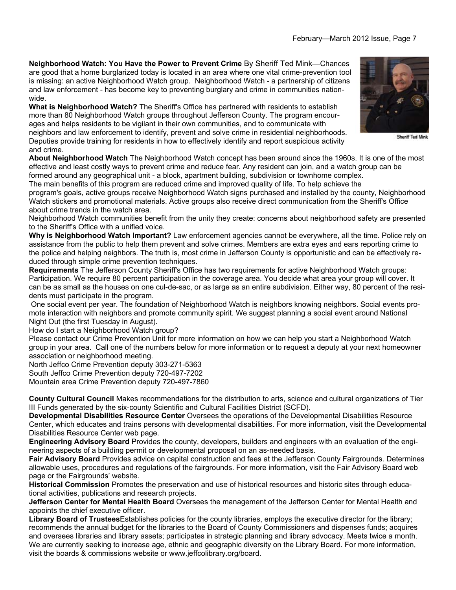**Neighborhood Watch: You Have the Power to Prevent Crime** By Sheriff Ted Mink—Chances are good that a home burglarized today is located in an area where one vital crime-prevention tool is missing: an active Neighborhood Watch group. Neighborhood Watch - a partnership of citizens and law enforcement - has become key to preventing burglary and crime in communities nationwide.

**What is Neighborhood Watch?** The Sheriff's Office has partnered with residents to establish more than 80 Neighborhood Watch groups throughout Jefferson County. The program encourages and helps residents to be vigilant in their own communities, and to communicate with neighbors and law enforcement to identify, prevent and solve crime in residential neighborhoods. Deputies provide training for residents in how to effectively identify and report suspicious activity and crime.

**About Neighborhood Watch** The Neighborhood Watch concept has been around since the 1960s. It is one of the most effective and least costly ways to prevent crime and reduce fear. Any resident can join, and a watch group can be formed around any geographical unit - a block, apartment building, subdivision or townhome complex.

The main benefits of this program are reduced crime and improved quality of life. To help achieve the

program's goals, active groups receive Neighborhood Watch signs purchased and installed by the county, Neighborhood Watch stickers and promotional materials. Active groups also receive direct communication from the Sheriff's Office about crime trends in the watch area.

Neighborhood Watch communities benefit from the unity they create: concerns about neighborhood safety are presented to the Sheriff's Office with a unified voice.

**Why is Neighborhood Watch Important?** Law enforcement agencies cannot be everywhere, all the time. Police rely on assistance from the public to help them prevent and solve crimes. Members are extra eyes and ears reporting crime to the police and helping neighbors. The truth is, most crime in Jefferson County is opportunistic and can be effectively reduced through simple crime prevention techniques.

**Requirements** The Jefferson County Sheriff's Office has two requirements for active Neighborhood Watch groups: Participation. We require 80 percent participation in the coverage area. You decide what area your group will cover. It can be as small as the houses on one cul-de-sac, or as large as an entire subdivision. Either way, 80 percent of the residents must participate in the program.

 One social event per year. The foundation of Neighborhood Watch is neighbors knowing neighbors. Social events promote interaction with neighbors and promote community spirit. We suggest planning a social event around National Night Out (the first Tuesday in August).

How do I start a Neighborhood Watch group?

Please contact our Crime Prevention Unit for more information on how we can help you start a Neighborhood Watch group in your area. Call one of the numbers below for more information or to request a deputy at your next homeowner association or neighborhood meeting.

North Jeffco Crime Prevention deputy 303-271-5363

South Jeffco Crime Prevention deputy 720-497-7202 Mountain area Crime Prevention deputy 720-497-7860

**County Cultural Council** Makes recommendations for the distribution to arts, science and cultural organizations of Tier III Funds generated by the six-county Scientific and Cultural Facilities District (SCFD).

**Developmental Disabilities Resource Center** Oversees the operations of the Developmental Disabilities Resource Center, which educates and trains persons with developmental disabilities. For more information, visit the Developmental Disabilities Resource Center web page.

**Engineering Advisory Board** Provides the county, developers, builders and engineers with an evaluation of the engineering aspects of a building permit or developmental proposal on an as-needed basis.

**Fair Advisory Board** Provides advice on capital construction and fees at the Jefferson County Fairgrounds. Determines allowable uses, procedures and regulations of the fairgrounds. For more information, visit the Fair Advisory Board web page or the Fairgrounds' website.

**Historical Commission** Promotes the preservation and use of historical resources and historic sites through educational activities, publications and research projects.

**Jefferson Center for Mental Health Board** Oversees the management of the Jefferson Center for Mental Health and appoints the chief executive officer.

**Library Board of Trustees**Establishes policies for the county libraries, employs the executive director for the library; recommends the annual budget for the libraries to the Board of County Commissioners and dispenses funds; acquires and oversees libraries and library assets; participates in strategic planning and library advocacy. Meets twice a month. We are currently seeking to increase age, ethnic and geographic diversity on the Library Board. For more information, visit the boards & commissions website or www.jeffcolibrary.org/board.



Sheriff Ted Mink